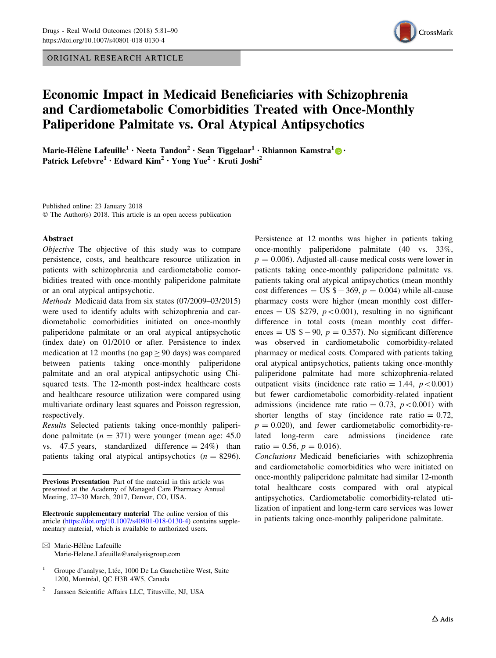ORIGINAL RESEARCH ARTICLE



# Economic Impact in Medicaid Beneficiaries with Schizophrenia and Cardiometabolic Comorbidities Treated with Once-Monthly Paliperidone Palmitate vs. Oral Atypical Antipsychotics

Marie-Hélène Lafeuille<sup>1</sup> [•](http://orcid.org/0000-0001-7003-7907) Neeta Tandon<sup>2</sup> • Sean Tiggelaar<sup>1</sup> • Rhiannon Kamstra<sup>1</sup> • • Patrick Lefebvre<sup>1</sup> · Edward Kim<sup>2</sup> · Yong Yue<sup>2</sup> · Kruti Joshi<sup>2</sup>

Published online: 23 January 2018 © The Author(s) 2018. This article is an open access publication

#### Abstract

Objective The objective of this study was to compare persistence, costs, and healthcare resource utilization in patients with schizophrenia and cardiometabolic comorbidities treated with once-monthly paliperidone palmitate or an oral atypical antipsychotic.

Methods Medicaid data from six states (07/2009–03/2015) were used to identify adults with schizophrenia and cardiometabolic comorbidities initiated on once-monthly paliperidone palmitate or an oral atypical antipsychotic (index date) on 01/2010 or after. Persistence to index medication at 12 months (no gap  $\geq$  90 days) was compared between patients taking once-monthly paliperidone palmitate and an oral atypical antipsychotic using Chisquared tests. The 12-month post-index healthcare costs and healthcare resource utilization were compared using multivariate ordinary least squares and Poisson regression, respectively.

Results Selected patients taking once-monthly paliperidone palmitate  $(n = 371)$  were younger (mean age: 45.0) vs. 47.5 years, standardized difference  $= 24\%$ ) than patients taking oral atypical antipsychotics  $(n = 8296)$ .

Previous Presentation Part of the material in this article was presented at the Academy of Managed Care Pharmacy Annual Meeting, 27–30 March, 2017, Denver, CO, USA.

Electronic supplementary material The online version of this article [\(https://doi.org/10.1007/s40801-018-0130-4](http://dx.doi.org/10.1007/s40801-018-0130-4)) contains supplementary material, which is available to authorized users.

Persistence at 12 months was higher in patients taking once-monthly paliperidone palmitate (40 vs. 33%,  $p = 0.006$ ). Adjusted all-cause medical costs were lower in patients taking once-monthly paliperidone palmitate vs. patients taking oral atypical antipsychotics (mean monthly cost differences = US  $\phi$  - 369,  $p$  = 0.004) while all-cause pharmacy costs were higher (mean monthly cost differences = US  $$279, p<0.001$ , resulting in no significant difference in total costs (mean monthly cost differences = US  $\text{\$} - 90$ ,  $p = 0.357$ ). No significant difference was observed in cardiometabolic comorbidity-related pharmacy or medical costs. Compared with patients taking oral atypical antipsychotics, patients taking once-monthly paliperidone palmitate had more schizophrenia-related outpatient visits (incidence rate ratio = 1.44,  $p \le 0.001$ ) but fewer cardiometabolic comorbidity-related inpatient admissions (incidence rate ratio = 0.73,  $p \lt 0.001$ ) with shorter lengths of stay (incidence rate ratio  $= 0.72$ ,  $p = 0.020$ , and fewer cardiometabolic comorbidity-related long-term care admissions (incidence rate ratio = 0.56,  $p = 0.016$ ).

Conclusions Medicaid beneficiaries with schizophrenia and cardiometabolic comorbidities who were initiated on once-monthly paliperidone palmitate had similar 12-month total healthcare costs compared with oral atypical antipsychotics. Cardiometabolic comorbidity-related utilization of inpatient and long-term care services was lower in patients taking once-monthly paliperidone palmitate.

 $\boxtimes$  Marie-Hélène Lafeuille Marie-Helene.Lafeuille@analysisgroup.com

Groupe d'analyse, Ltée, 1000 De La Gauchetière West, Suite 1200, Montréal, OC H3B 4W5, Canada

<sup>2</sup> Janssen Scientific Affairs LLC, Titusville, NJ, USA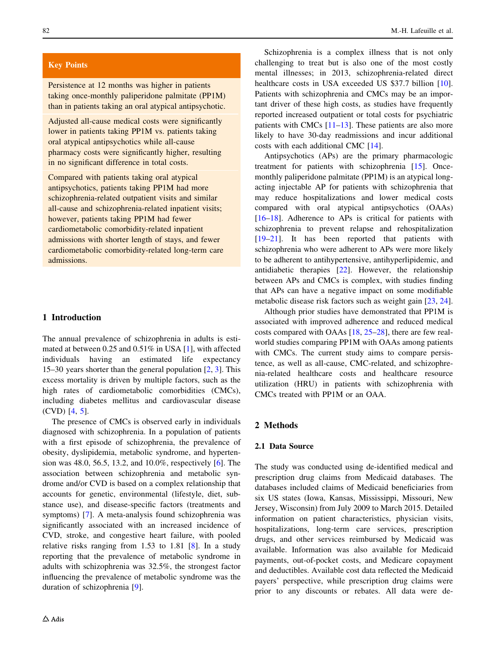## Key Points

Persistence at 12 months was higher in patients taking once-monthly paliperidone palmitate (PP1M) than in patients taking an oral atypical antipsychotic.

Adjusted all-cause medical costs were significantly lower in patients taking PP1M vs. patients taking oral atypical antipsychotics while all-cause pharmacy costs were significantly higher, resulting in no significant difference in total costs.

Compared with patients taking oral atypical antipsychotics, patients taking PP1M had more schizophrenia-related outpatient visits and similar all-cause and schizophrenia-related inpatient visits; however, patients taking PP1M had fewer cardiometabolic comorbidity-related inpatient admissions with shorter length of stays, and fewer cardiometabolic comorbidity-related long-term care admissions.

# 1 Introduction

The annual prevalence of schizophrenia in adults is estimated at between 0.25 and 0.51% in USA [[1\]](#page-8-0), with affected individuals having an estimated life expectancy 15–30 years shorter than the general population [\[2](#page-8-0), [3](#page-8-0)]. This excess mortality is driven by multiple factors, such as the high rates of cardiometabolic comorbidities (CMCs), including diabetes mellitus and cardiovascular disease (CVD) [\[4](#page-8-0), [5](#page-8-0)].

The presence of CMCs is observed early in individuals diagnosed with schizophrenia. In a population of patients with a first episode of schizophrenia, the prevalence of obesity, dyslipidemia, metabolic syndrome, and hypertension was 48.0, 56.5, 13.2, and 10.0%, respectively [[6\]](#page-8-0). The association between schizophrenia and metabolic syndrome and/or CVD is based on a complex relationship that accounts for genetic, environmental (lifestyle, diet, substance use), and disease-specific factors (treatments and symptoms) [[7\]](#page-8-0). A meta-analysis found schizophrenia was significantly associated with an increased incidence of CVD, stroke, and congestive heart failure, with pooled relative risks ranging from 1.53 to 1.81 [[8\]](#page-8-0). In a study reporting that the prevalence of metabolic syndrome in adults with schizophrenia was 32.5%, the strongest factor influencing the prevalence of metabolic syndrome was the duration of schizophrenia [[9\]](#page-8-0).

Schizophrenia is a complex illness that is not only challenging to treat but is also one of the most costly mental illnesses; in 2013, schizophrenia-related direct healthcare costs in USA exceeded US \$37.7 billion [\[10](#page-8-0)]. Patients with schizophrenia and CMCs may be an important driver of these high costs, as studies have frequently reported increased outpatient or total costs for psychiatric patients with CMCs [[11–13\]](#page-8-0). These patients are also more likely to have 30-day readmissions and incur additional costs with each additional CMC [[14\]](#page-8-0).

Antipsychotics (APs) are the primary pharmacologic treatment for patients with schizophrenia [\[15](#page-8-0)]. Oncemonthly paliperidone palmitate (PP1M) is an atypical longacting injectable AP for patients with schizophrenia that may reduce hospitalizations and lower medical costs compared with oral atypical antipsychotics (OAAs) [\[16–18](#page-9-0)]. Adherence to APs is critical for patients with schizophrenia to prevent relapse and rehospitalization [\[19–21](#page-9-0)]. It has been reported that patients with schizophrenia who were adherent to APs were more likely to be adherent to antihypertensive, antihyperlipidemic, and antidiabetic therapies [\[22](#page-9-0)]. However, the relationship between APs and CMCs is complex, with studies finding that APs can have a negative impact on some modifiable metabolic disease risk factors such as weight gain [\[23](#page-9-0), [24](#page-9-0)].

Although prior studies have demonstrated that PP1M is associated with improved adherence and reduced medical costs compared with OAAs [\[18](#page-9-0), [25–28](#page-9-0)], there are few realworld studies comparing PP1M with OAAs among patients with CMCs. The current study aims to compare persistence, as well as all-cause, CMC-related, and schizophrenia-related healthcare costs and healthcare resource utilization (HRU) in patients with schizophrenia with CMCs treated with PP1M or an OAA.

#### 2 Methods

# 2.1 Data Source

The study was conducted using de-identified medical and prescription drug claims from Medicaid databases. The databases included claims of Medicaid beneficiaries from six US states (Iowa, Kansas, Mississippi, Missouri, New Jersey, Wisconsin) from July 2009 to March 2015. Detailed information on patient characteristics, physician visits, hospitalizations, long-term care services, prescription drugs, and other services reimbursed by Medicaid was available. Information was also available for Medicaid payments, out-of-pocket costs, and Medicare copayment and deductibles. Available cost data reflected the Medicaid payers' perspective, while prescription drug claims were prior to any discounts or rebates. All data were de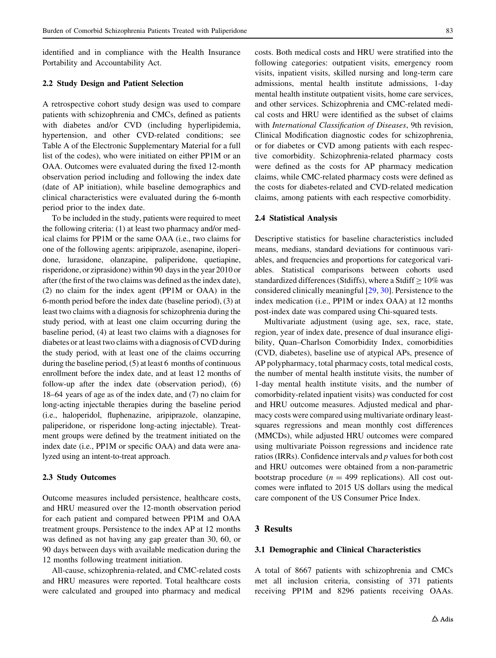identified and in compliance with the Health Insurance Portability and Accountability Act.

## 2.2 Study Design and Patient Selection

A retrospective cohort study design was used to compare patients with schizophrenia and CMCs, defined as patients with diabetes and/or CVD (including hyperlipidemia, hypertension, and other CVD-related conditions; see Table A of the Electronic Supplementary Material for a full list of the codes), who were initiated on either PP1M or an OAA. Outcomes were evaluated during the fixed 12-month observation period including and following the index date (date of AP initiation), while baseline demographics and clinical characteristics were evaluated during the 6-month period prior to the index date.

To be included in the study, patients were required to meet the following criteria: (1) at least two pharmacy and/or medical claims for PP1M or the same OAA (i.e., two claims for one of the following agents: aripiprazole, asenapine, iloperidone, lurasidone, olanzapine, paliperidone, quetiapine, risperidone, or ziprasidone) within 90 days in the year 2010 or after (the first of the two claims was defined as the index date), (2) no claim for the index agent (PP1M or OAA) in the 6-month period before the index date (baseline period), (3) at least two claims with a diagnosis for schizophrenia during the study period, with at least one claim occurring during the baseline period, (4) at least two claims with a diagnoses for diabetes or at least two claims with a diagnosis of CVD during the study period, with at least one of the claims occurring during the baseline period, (5) at least 6 months of continuous enrollment before the index date, and at least 12 months of follow-up after the index date (observation period), (6) 18–64 years of age as of the index date, and (7) no claim for long-acting injectable therapies during the baseline period (i.e., haloperidol, fluphenazine, aripiprazole, olanzapine, paliperidone, or risperidone long-acting injectable). Treatment groups were defined by the treatment initiated on the index date (i.e., PP1M or specific OAA) and data were analyzed using an intent-to-treat approach.

#### 2.3 Study Outcomes

Outcome measures included persistence, healthcare costs, and HRU measured over the 12-month observation period for each patient and compared between PP1M and OAA treatment groups. Persistence to the index AP at 12 months was defined as not having any gap greater than 30, 60, or 90 days between days with available medication during the 12 months following treatment initiation.

All-cause, schizophrenia-related, and CMC-related costs and HRU measures were reported. Total healthcare costs were calculated and grouped into pharmacy and medical costs. Both medical costs and HRU were stratified into the following categories: outpatient visits, emergency room visits, inpatient visits, skilled nursing and long-term care admissions, mental health institute admissions, 1-day mental health institute outpatient visits, home care services, and other services. Schizophrenia and CMC-related medical costs and HRU were identified as the subset of claims with International Classification of Diseases, 9th revision, Clinical Modification diagnostic codes for schizophrenia, or for diabetes or CVD among patients with each respective comorbidity. Schizophrenia-related pharmacy costs were defined as the costs for AP pharmacy medication claims, while CMC-related pharmacy costs were defined as the costs for diabetes-related and CVD-related medication claims, among patients with each respective comorbidity.

#### 2.4 Statistical Analysis

Descriptive statistics for baseline characteristics included means, medians, standard deviations for continuous variables, and frequencies and proportions for categorical variables. Statistical comparisons between cohorts used standardized differences (Stdiffs), where a Stdiff  $> 10\%$  was considered clinically meaningful [\[29](#page-9-0), [30\]](#page-9-0). Persistence to the index medication (i.e., PP1M or index OAA) at 12 months post-index date was compared using Chi-squared tests.

Multivariate adjustment (using age, sex, race, state, region, year of index date, presence of dual insurance eligibility, Quan–Charlson Comorbidity Index, comorbidities (CVD, diabetes), baseline use of atypical APs, presence of AP polypharmacy, total pharmacy costs, total medical costs, the number of mental health institute visits, the number of 1-day mental health institute visits, and the number of comorbidity-related inpatient visits) was conducted for cost and HRU outcome measures. Adjusted medical and pharmacy costs were compared using multivariate ordinary leastsquares regressions and mean monthly cost differences (MMCDs), while adjusted HRU outcomes were compared using multivariate Poisson regressions and incidence rate ratios (IRRs). Confidence intervals and p values for both cost and HRU outcomes were obtained from a non-parametric bootstrap procedure ( $n = 499$  replications). All cost outcomes were inflated to 2015 US dollars using the medical care component of the US Consumer Price Index.

## 3 Results

#### 3.1 Demographic and Clinical Characteristics

A total of 8667 patients with schizophrenia and CMCs met all inclusion criteria, consisting of 371 patients receiving PP1M and 8296 patients receiving OAAs.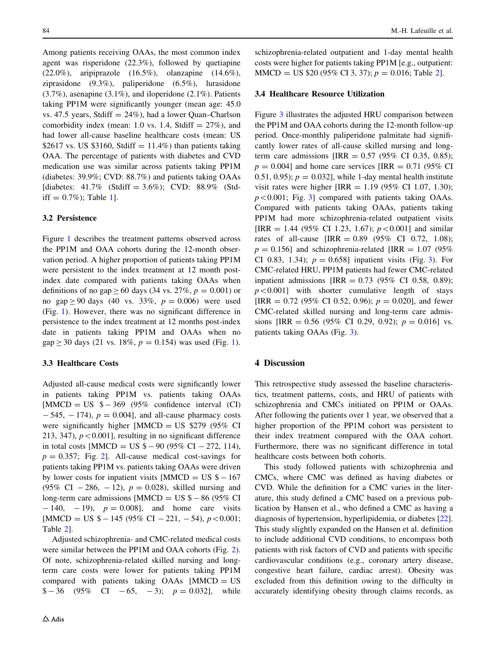Among patients receiving OAAs, the most common index agent was risperidone (22.3%), followed by quetiapine (22.0%), aripiprazole  $(16.5\%)$ , olanzapine  $(14.6\%)$ , ziprasidone (9.3%), paliperidone (6.5%), lurasidone (3.7%), asenapine (3.1%), and iloperidone (2.1%). Patients taking PP1M were significantly younger (mean age: 45.0 vs. 47.5 years, Stdiff  $= 24\%$ ), had a lower Quan–Charlson comorbidity index (mean: 1.0 vs. 1.4, Stdiff  $= 27\%$ ), and had lower all-cause baseline healthcare costs (mean: US \$2617 vs. US \$3160, Stdiff =  $11.4\%$ ) than patients taking OAA. The percentage of patients with diabetes and CVD medication use was similar across patients taking PP1M (diabetes: 39.9%; CVD: 88.7%) and patients taking OAAs [diabetes:  $41.7\%$  (Stdiff = 3.6%); CVD: 88.9% (Stdiff  $= 0.7\%$ ; Table [1](#page-4-0).

## 3.2 Persistence

Figure [1](#page-5-0) describes the treatment patterns observed across the PP1M and OAA cohorts during the 12-month observation period. A higher proportion of patients taking PP1M were persistent to the index treatment at 12 month postindex date compared with patients taking OAAs when definitions of no gap  $\geq 60$  days (34 vs. 27%,  $p = 0.001$ ) or no gap  $\geq 90$  days (40 vs. 33%,  $p = 0.006$ ) were used (Fig. [1](#page-5-0)). However, there was no significant difference in persistence to the index treatment at 12 months post-index date in patients taking PP1M and OAAs when no  $gap \ge 30$  days (21 vs. 18%,  $p = 0.154$ ) was used (Fig. [1\)](#page-5-0).

## 3.3 Healthcare Costs

Adjusted all-cause medical costs were significantly lower in patients taking PP1M vs. patients taking OAAs [MMCD = US  $$-369$  (95% confidence interval (CI)  $-545, -174$ ,  $p = 0.004$ , and all-cause pharmacy costs were significantly higher  $[MMCD = US $279 (95\% CI)$ 213, 347),  $p < 0.001$ ], resulting in no significant difference in total costs [MMCD = US  $\text{\$} - 90$  (95% CI - 272, 114),  $p = 0.357$ ; Fig. [2](#page-5-0). All-cause medical cost-savings for patients taking PP1M vs. patients taking OAAs were driven by lower costs for inpatient visits [MMCD = US  $\text{\$} - 167$ (95% CI  $-286$ ,  $-12$ ),  $p = 0.028$ ), skilled nursing and long-term care admissions [MMCD = US  $\text{\$} - 86$  (95% CI  $-140, -19$ ,  $p = 0.008$ , and home care visits  $[MMCD = US $-145 (95\% CI -221, -54), p<0.001;$ Table [2](#page-6-0)].

Adjusted schizophrenia- and CMC-related medical costs were similar between the PP1M and OAA cohorts (Fig. [2](#page-5-0)). Of note, schizophrenia-related skilled nursing and longterm care costs were lower for patients taking PP1M compared with patients taking OAAs [MMCD = US  $$-36$  (95\% CI - 65, -3);  $p = 0.032$ , while schizophrenia-related outpatient and 1-day mental health costs were higher for patients taking PP1M [e.g., outpatient:  $MMCD = US $20 (95\% CI 3, 37); p = 0.016; Table 2].$  $MMCD = US $20 (95\% CI 3, 37); p = 0.016; Table 2].$  $MMCD = US $20 (95\% CI 3, 37); p = 0.016; Table 2].$ 

## 3.4 Healthcare Resource Utilization

Figure [3](#page-7-0) illustrates the adjusted HRU comparison between the PP1M and OAA cohorts during the 12-month follow-up period. Once-monthly paliperidone palmitate had significantly lower rates of all-cause skilled nursing and longterm care admissions  $IIRR = 0.57 (95\% \text{ CI } 0.35, 0.85);$  $p = 0.004$ ] and home care services [IRR = 0.71 (95% CI 0.51, 0.95);  $p = 0.032$ , while 1-day mental health institute visit rates were higher  $[IRR = 1.19 (95\% CI 1.07, 1.30);$  $p<0.001$ ; Fig. [3](#page-7-0)] compared with patients taking OAAs. Compared with patients taking OAAs, patients taking PP1M had more schizophrenia-related outpatient visits [IRR = 1.44 (95% CI 1.23, 1.67);  $p < 0.001$ ] and similar rates of all-cause  $[IRR = 0.89 (95\% CI 0.72, 1.08);$  $p = 0.156$ ] and schizophrenia-related [IRR = 1.07 (95%) CI 0.8[3](#page-7-0), 1.34);  $p = 0.658$ ] inpatient visits (Fig. 3). For CMC-related HRU, PP1M patients had fewer CMC-related inpatient admissions  $IIRR = 0.73$  (95% CI 0.58, 0.89);  $p<0.001$ ] with shorter cumulative length of stays [IRR = 0.72 (95% CI 0.52, 0.96);  $p = 0.020$ ], and fewer CMC-related skilled nursing and long-term care admissions [IRR =  $0.56$  (95% CI 0.29, 0.92);  $p = 0.016$ ] vs. patients taking OAAs (Fig. [3](#page-7-0)).

# 4 Discussion

This retrospective study assessed the baseline characteristics, treatment patterns, costs, and HRU of patients with schizophrenia and CMCs initiated on PP1M or OAAs. After following the patients over 1 year, we observed that a higher proportion of the PP1M cohort was persistent to their index treatment compared with the OAA cohort. Furthermore, there was no significant difference in total healthcare costs between both cohorts.

This study followed patients with schizophrenia and CMCs, where CMC was defined as having diabetes or CVD. While the definition for a CMC varies in the literature, this study defined a CMC based on a previous publication by Hansen et al., who defined a CMC as having a diagnosis of hypertension, hyperlipidemia, or diabetes [\[22](#page-9-0)]. This study slightly expanded on the Hansen et al. definition to include additional CVD conditions, to encompass both patients with risk factors of CVD and patients with specific cardiovascular conditions (e.g., coronary artery disease, congestive heart failure, cardiac arrest). Obesity was excluded from this definition owing to the difficulty in accurately identifying obesity through claims records, as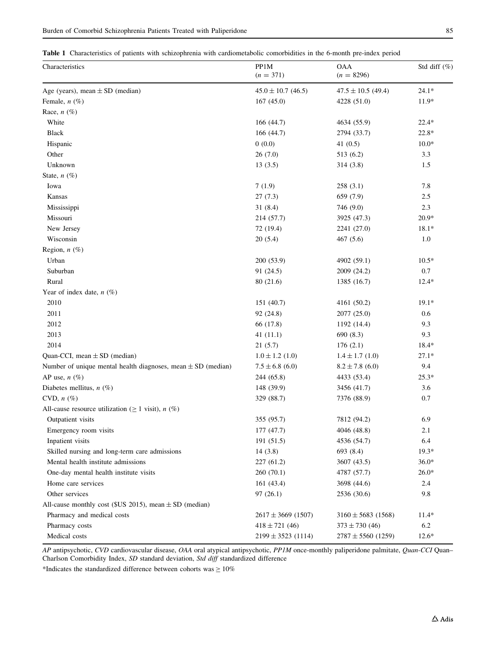<span id="page-4-0"></span>Table 1 Characteristics of patients with schizophrenia with cardiometabolic comorbidities in the 6-month pre-index period

| Characteristics                                                  | PP1M<br>$(n = 371)$    | <b>OAA</b><br>$(n = 8296)$ | Std diff $(\%)$ |
|------------------------------------------------------------------|------------------------|----------------------------|-----------------|
| Age (years), mean $\pm$ SD (median)                              | $45.0 \pm 10.7$ (46.5) | $47.5 \pm 10.5$ (49.4)     | $24.1*$         |
| Female, $n$ (%)                                                  | 167(45.0)              | 4228 (51.0)                | $11.9*$         |
| Race, $n$ (%)                                                    |                        |                            |                 |
| White                                                            | 166(44.7)              | 4634 (55.9)                | 22.4*           |
| <b>Black</b>                                                     | 166(44.7)              | 2794 (33.7)                | 22.8*           |
| Hispanic                                                         | 0(0.0)                 | 41 $(0.5)$                 | $10.0*$         |
| Other                                                            | 26(7.0)                | 513 (6.2)                  | 3.3             |
| Unknown                                                          | 13(3.5)                | 314 (3.8)                  | 1.5             |
| State, $n$ (%)                                                   |                        |                            |                 |
| Iowa                                                             | 7(1.9)                 | 258(3.1)                   | 7.8             |
| Kansas                                                           | 27(7.3)                | 659 (7.9)                  | 2.5             |
| Mississippi                                                      | 31(8.4)                | 746 (9.0)                  | 2.3             |
| Missouri                                                         | 214 (57.7)             | 3925 (47.3)                | $20.9*$         |
| New Jersey                                                       | 72 (19.4)              | 2241 (27.0)                | $18.1*$         |
| Wisconsin                                                        | 20(5.4)                | 467(5.6)                   | 1.0             |
| Region, $n$ (%)                                                  |                        |                            |                 |
| Urban                                                            | 200 (53.9)             | 4902 (59.1)                | $10.5*$         |
| Suburban                                                         | 91 (24.5)              | 2009 (24.2)                | 0.7             |
| Rural                                                            | 80 (21.6)              | 1385 (16.7)                | $12.4*$         |
| Year of index date, $n$ (%)                                      |                        |                            |                 |
| 2010                                                             | 151 (40.7)             | 4161 (50.2)                | $19.1*$         |
| 2011                                                             | 92 (24.8)              | 2077 (25.0)                | 0.6             |
| 2012                                                             | 66 (17.8)              | 1192 (14.4)                | 9.3             |
| 2013                                                             | 41(11.1)               | 690(8.3)                   | 9.3             |
| 2014                                                             | 21(5.7)                | 176(2.1)                   | 18.4*           |
| Quan-CCI, mean $\pm$ SD (median)                                 | $1.0 \pm 1.2$ (1.0)    | $1.4 \pm 1.7$ (1.0)        | $27.1*$         |
| Number of unique mental health diagnoses, mean $\pm$ SD (median) | $7.5 \pm 6.8$ (6.0)    | $8.2 \pm 7.8$ (6.0)        | 9.4             |
| AP use, $n$ (%)                                                  | 244 (65.8)             | 4433 (53.4)                | $25.3*$         |
| Diabetes mellitus, $n$ (%)                                       | 148 (39.9)             | 3456 (41.7)                | 3.6             |
| CVD, $n$ $(\%)$                                                  | 329 (88.7)             | 7376 (88.9)                | 0.7             |
| All-cause resource utilization ( $\geq 1$ visit), <i>n</i> (%)   |                        |                            |                 |
| Outpatient visits                                                | 355 (95.7)             | 7812 (94.2)                | 6.9             |
| Emergency room visits                                            | 177(47.7)              | 4046 (48.8)                | 2.1             |
| Inpatient visits                                                 | 191 (51.5)             | 4536 (54.7)                | 6.4             |
| Skilled nursing and long-term care admissions                    | 14(3.8)                | 693 (8.4)                  | $19.3*$         |
| Mental health institute admissions                               | 227 (61.2)             | 3607 (43.5)                | $36.0*$         |
| One-day mental health institute visits                           | 260 (70.1)             | 4787 (57.7)                | $26.0*$         |
| Home care services                                               | 161(43.4)              | 3698 (44.6)                | 2.4             |
| Other services                                                   | 97(26.1)               | 2536 (30.6)                | 9.8             |
| All-cause monthly cost (\$US 2015), mean $\pm$ SD (median)       |                        |                            |                 |
| Pharmacy and medical costs                                       | $2617 \pm 3669$ (1507) | $3160 \pm 5683$ (1568)     | $11.4*$         |
| Pharmacy costs                                                   | $418 \pm 721$ (46)     | $373 \pm 730$ (46)         | 6.2             |
| Medical costs                                                    | $2199 \pm 3523$ (1114) | $2787 \pm 5560$ (1259)     | $12.6*$         |

AP antipsychotic, CVD cardiovascular disease, OAA oral atypical antipsychotic, PP1M once-monthly paliperidone palmitate, Quan-CCI Quan-Charlson Comorbidity Index, SD standard deviation, Std diff standardized difference

\*Indicates the standardized difference between cohorts was  $\geq 10\%$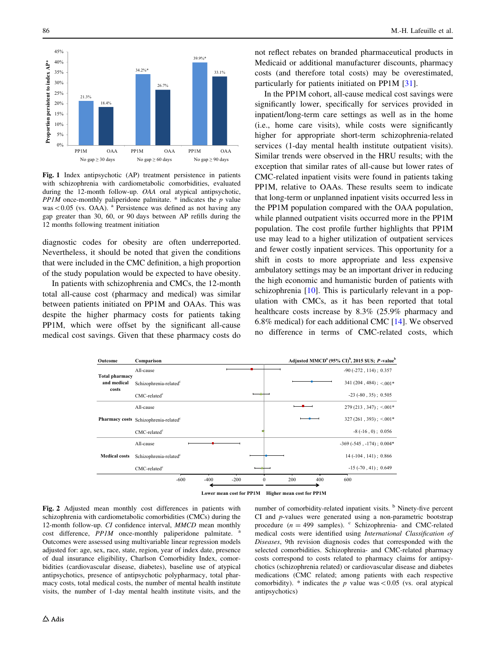<span id="page-5-0"></span>

Fig. 1 Index antipsychotic (AP) treatment persistence in patients with schizophrenia with cardiometabolic comorbidities, evaluated during the 12-month follow-up. OAA oral atypical antipsychotic,  $PPIM$  once-monthly paliperidone palmitate.  $*$  indicates the p value was $\&0.05$  (vs. OAA). <sup>a</sup> Persistence was defined as not having any gap greater than 30, 60, or 90 days between AP refills during the 12 months following treatment initiation

diagnostic codes for obesity are often underreported. Nevertheless, it should be noted that given the conditions that were included in the CMC definition, a high proportion of the study population would be expected to have obesity.

In patients with schizophrenia and CMCs, the 12-month total all-cause cost (pharmacy and medical) was similar between patients initiated on PP1M and OAAs. This was despite the higher pharmacy costs for patients taking PP1M, which were offset by the significant all-cause medical cost savings. Given that these pharmacy costs do not reflect rebates on branded pharmaceutical products in Medicaid or additional manufacturer discounts, pharmacy costs (and therefore total costs) may be overestimated, particularly for patients initiated on PP1M [\[31](#page-9-0)].

In the PP1M cohort, all-cause medical cost savings were significantly lower, specifically for services provided in inpatient/long-term care settings as well as in the home (i.e., home care visits), while costs were significantly higher for appropriate short-term schizophrenia-related services (1-day mental health institute outpatient visits). Similar trends were observed in the HRU results; with the exception that similar rates of all-cause but lower rates of CMC-related inpatient visits were found in patients taking PP1M, relative to OAAs. These results seem to indicate that long-term or unplanned inpatient visits occurred less in the PP1M population compared with the OAA population, while planned outpatient visits occurred more in the PP1M population. The cost profile further highlights that PP1M use may lead to a higher utilization of outpatient services and fewer costly inpatient services. This opportunity for a shift in costs to more appropriate and less expensive ambulatory settings may be an important driver in reducing the high economic and humanistic burden of patients with schizophrenia [[10\]](#page-8-0). This is particularly relevant in a population with CMCs, as it has been reported that total healthcare costs increase by 8.3% (25.9% pharmacy and 6.8% medical) for each additional CMC [\[14](#page-8-0)]. We observed no difference in terms of CMC-related costs, which

| Outcome                                       | Comparison                                        | Adjusted MMCD <sup>a</sup> (95% CI) <sup>b</sup> , 2015 SUS; P-value <sup>b</sup> |
|-----------------------------------------------|---------------------------------------------------|-----------------------------------------------------------------------------------|
|                                               | All-cause                                         | $-90$ ( $-272$ , 114); 0.357                                                      |
| <b>Total pharmacy</b><br>and medical<br>costs | Schizophrenia-related <sup>c</sup>                | $341(204, 484)$ ; < 001*                                                          |
|                                               | $CMC$ -related $c$                                | $-23$ $(-80, 35)$ ; 0.505                                                         |
|                                               | All-cause                                         | $279(213, 347)$ ; <.001*                                                          |
|                                               | Pharmacy costs Schizophrenia-related <sup>c</sup> | $327(261, 393)$ ; < 001*                                                          |
|                                               | $CMC$ -related $c$                                | $-8(-16, 0)$ ; 0.056                                                              |
|                                               | All-cause                                         | $-369$ $(-545, -174)$ ; 0.004*                                                    |
| <b>Medical costs</b>                          | Schizophrenia-related <sup>c</sup>                | $14(-104, 141)$ ; 0.866                                                           |
|                                               | $CMC$ -related $c$                                | $-15$ ( $-70$ , $41$ ); 0.649                                                     |
|                                               | $-600$<br>$-400$<br>$-200$<br>$\mathbf{0}$        | 600<br>200<br>400                                                                 |

**Lower mean cost for PP1M Higher mean cost for PP1M**

Fig. 2 Adjusted mean monthly cost differences in patients with schizophrenia with cardiometabolic comorbidities (CMCs) during the 12-month follow-up. CI confidence interval, MMCD mean monthly  $cost$  difference,  $PPIM$  once-monthly paliperidone palmitate. Outcomes were assessed using multivariable linear regression models adjusted for: age, sex, race, state, region, year of index date, presence of dual insurance eligibility, Charlson Comorbidity Index, comorbidities (cardiovascular disease, diabetes), baseline use of atypical antipsychotics, presence of antipsychotic polypharmacy, total pharmacy costs, total medical costs, the number of mental health institute visits, the number of 1-day mental health institute visits, and the number of comorbidity-related inpatient visits. <sup>b</sup> Ninety-five percent CI and p-values were generated using a non-parametric bootstrap procedure ( $n = 499$  samples). <sup>c</sup> Schizophrenia- and CMC-related medical costs were identified using International Classification of Diseases, 9th revision diagnosis codes that corresponded with the selected comorbidities. Schizophrenia- and CMC-related pharmacy costs correspond to costs related to pharmacy claims for antipsychotics (schizophrenia related) or cardiovascular disease and diabetes medications (CMC related; among patients with each respective comorbidity). \* indicates the p value was $<0.05$  (vs. oral atypical antipsychotics)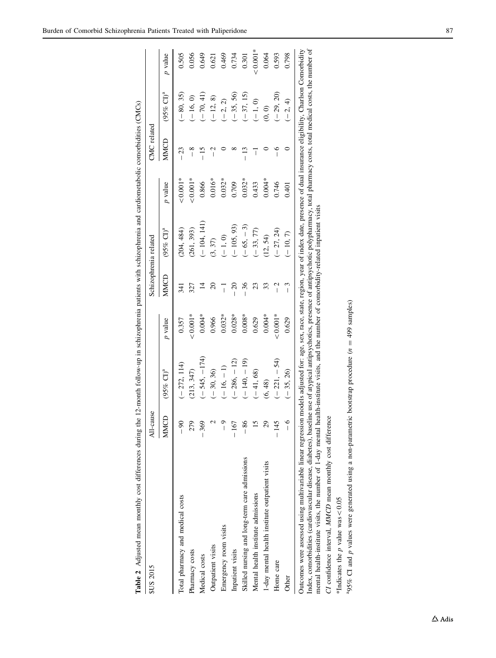<span id="page-6-0"></span>

| <b>SUS 2015</b>                                 | All-cause       |                         |            |                | Schizophrenia related |                | CMC related          |                      |            |
|-------------------------------------------------|-----------------|-------------------------|------------|----------------|-----------------------|----------------|----------------------|----------------------|------------|
|                                                 | MMC             | $(95%$ CI) <sup>a</sup> | p value    | MMCD           | (95% CI) <sup>a</sup> | <i>p</i> value | MMCD                 | $(95% \text{ Cl})^4$ | p value    |
| Total pharmacy and medical costs                | $\frac{8}{1}$   | $(-272, 114)$           | 0.357      | 341            | (204, 484)            | $0.001*$       | 23<br>$\overline{1}$ | $(-80, 35)$          | 0.505      |
| Pharmacy costs                                  | 279             | (213, 347)              | $< 0.001*$ | 327            | (261, 393)            | $0.001*$       | $\frac{8}{1}$        | $(-16, 0)$           | 0.056      |
| Medical costs                                   | $-369$          | $(-545, -174)$          | $0.004*$   | ⋣              | $(-104, 141)$         | 0.866          |                      | $(-70, 41)$          | 0.649      |
| Outpatient visits                               |                 | $(-30, 36)$             | 0.966      | $\approx$      | (3, 37)               | $0.016*$       | Ï                    | $(-12, 8)$           | 0.621      |
| Emergency room visits                           | م               | $(-16, -1)$             | $0.032*$   | $\overline{1}$ | $(-1, 0)$             | $0.032*$       |                      | $(-2, 2)$            | 0.469      |
| Inpatient visits                                | $-167$          | $(-286, -12)$           | $0.028*$   | $\approx$      | $(-105, 93)$          | 0.709          |                      | $(-35, 56)$          | 0.734      |
| Skilled nursing and long-term care admissions   | $-86$           | $(-140, -19)$           | $0.008*$   | 36             | $(-65, -3)$           | $0.032*$       | $-13$                | $(-37, 15)$          | 0.301      |
| Mental health institute admissions              | 5               | $(-41, 68)$             | 0.629      | 23             | $(-33, 77)$           | 0.433          | $\overline{1}$       | $(-1, 0)$            | $< 0.001*$ |
| 1-day mental health institute outpatient visits | $\mathcal{S}^2$ | (6, 48)                 | $0.004*$   | 33             | (12, 54)              | $0.004*$       |                      | (0, 0)               | 0.064      |
| Home care                                       | $-145$          | $(-221, -54)$           | $-0.001*$  | Ï              | $(-27, 24)$           | 0.746          |                      | $(-29, 20)$          | 0.593      |
| Other                                           | $\frac{1}{1}$   | $(-35, 26)$             | 0.629      | ر<br>ا         | $(-10, 7)$            | 0.401          |                      | $(-2, 4)$            | 0.798      |

Index, comorbidities (cardiovascular disease, diabetes), baseline use of atypical antipsychotics, presence of antipsychotic polypharmacy, total pharmacy costs, total medical costs, the number of<br>mental health-institute vis Index, comorbidities (cardiovascular disease, diabetes), baseline use of atypical antipsychotics, presence of antipsychotic polypharmacy, total pharmacy costs, total medical costs, the number of mental health-institute visits, the number of 1-day mental health-institute visits, and the number of comorbidity-related inpatient visits

CI confidence interval, MMCD mean monthly cost difference CI confidence interval, MMCD mean monthly cost difference

\*Indicates the p value was \*Indicates the  $p$  value was < 0.05 "95% CI and p values were generated using a non-parametric bootstrap procedure  $(n = 499 \text{ samples})$ p values were generated using a non-parametric bootstrap procedure  $(n = 499 \text{ samples})$  $^{a}95%$  CI and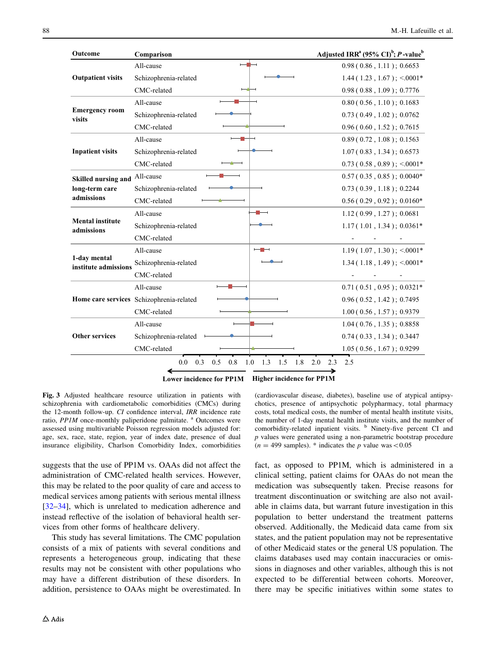<span id="page-7-0"></span>

| Outcome                               | Comparison                               |                                 | Adjusted IRR <sup>a</sup> (95% CI) <sup>b</sup> ; <i>P</i> -value <sup>b</sup> |
|---------------------------------------|------------------------------------------|---------------------------------|--------------------------------------------------------------------------------|
| <b>Outpatient visits</b>              | All-cause                                |                                 | 0.98(0.86, 1.11); 0.6653                                                       |
|                                       | Schizophrenia-related                    |                                 | $1.44(1.23, 1.67); \le 0.001*$                                                 |
|                                       | CMC-related                              |                                 | 0.98(0.88, 1.09); 0.7776                                                       |
| <b>Emergency room</b><br>visits       | All-cause                                |                                 | 0.80(0.56, 1.10); 0.1683                                                       |
|                                       | Schizophrenia-related                    |                                 | 0.73(0.49, 1.02); 0.0762                                                       |
|                                       | CMC-related                              |                                 | 0.96(0.60, 1.52); 0.7615                                                       |
|                                       | All-cause                                |                                 | 0.89(0.72, 1.08); 0.1563                                                       |
| <b>Inpatient visits</b>               | Schizophrenia-related                    |                                 | 1.07(0.83, 1.34); 0.6573                                                       |
|                                       | CMC-related                              |                                 | $0.73(0.58, 0.89); < 0.001*$                                                   |
| Skilled nursing and                   | All-cause                                |                                 | $0.57(0.35, 0.85); 0.0040*$                                                    |
| long-term care                        | Schizophrenia-related                    |                                 | 0.73(0.39, 1.18); 0.2244                                                       |
| admissions                            | CMC-related                              |                                 | $0.56(0.29, 0.92); 0.0160*$                                                    |
|                                       | All-cause                                | $\overline{\phantom{a}}$        | 1.12(0.99, 1.27); 0.0681                                                       |
| <b>Mental institute</b><br>admissions | Schizophrenia-related                    |                                 | $1.17(1.01, 1.34); 0.0361*$                                                    |
|                                       | CMC-related                              |                                 |                                                                                |
|                                       | All-cause                                |                                 | $1.19(1.07, 1.30)$ ; <.0001*                                                   |
| 1-day mental<br>institute admissions  | Schizophrenia-related                    |                                 | $1.34(1.18, 1.49)$ ; <0001*                                                    |
|                                       | CMC-related                              |                                 |                                                                                |
|                                       | All-cause                                |                                 | $0.71(0.51, 0.95); 0.0321*$                                                    |
|                                       | Home care services Schizophrenia-related |                                 | 0.96(0.52, 1.42); 0.7495                                                       |
|                                       | CMC-related                              |                                 | 1.00(0.56, 1.57); 0.9379                                                       |
| <b>Other services</b>                 | All-cause                                |                                 | $1.04(0.76, 1.35)$ ; 0.8858                                                    |
|                                       | Schizophrenia-related                    |                                 | 0.74(0.33, 1.34); 0.3447                                                       |
|                                       | CMC-related                              |                                 | 1.05(0.56, 1.67); 0.9299                                                       |
|                                       | 0.0<br>0.3<br>0.5<br>0.8<br>1.0          | 1.3<br>1.5<br>1.8<br>2.0<br>2.3 | 2.5                                                                            |

**Lower incidence for PP1M Higher incidence for PP1M**

Fig. 3 Adjusted healthcare resource utilization in patients with schizophrenia with cardiometabolic comorbidities (CMCs) during the 12-month follow-up. CI confidence interval, IRR incidence rate ratio, PP1M once-monthly paliperidone palmitate. <sup>a</sup> Outcomes were assessed using multivariable Poisson regression models adjusted for: age, sex, race, state, region, year of index date, presence of dual insurance eligibility, Charlson Comorbidity Index, comorbidities

suggests that the use of PP1M vs. OAAs did not affect the administration of CMC-related health services. However, this may be related to the poor quality of care and access to medical services among patients with serious mental illness [\[32–34](#page-9-0)], which is unrelated to medication adherence and instead reflective of the isolation of behavioral health services from other forms of healthcare delivery.

This study has several limitations. The CMC population consists of a mix of patients with several conditions and represents a heterogeneous group, indicating that these results may not be consistent with other populations who may have a different distribution of these disorders. In addition, persistence to OAAs might be overestimated. In (cardiovascular disease, diabetes), baseline use of atypical antipsychotics, presence of antipsychotic polypharmacy, total pharmacy costs, total medical costs, the number of mental health institute visits, the number of 1-day mental health institute visits, and the number of comorbidity-related inpatient visits. <sup>b</sup> Ninety-five percent CI and p values were generated using a non-parametric bootstrap procedure  $(n = 499$  samples). \* indicates the p value was < 0.05

fact, as opposed to PP1M, which is administered in a clinical setting, patient claims for OAAs do not mean the medication was subsequently taken. Precise reasons for treatment discontinuation or switching are also not available in claims data, but warrant future investigation in this population to better understand the treatment patterns observed. Additionally, the Medicaid data came from six states, and the patient population may not be representative of other Medicaid states or the general US population. The claims databases used may contain inaccuracies or omissions in diagnoses and other variables, although this is not expected to be differential between cohorts. Moreover, there may be specific initiatives within some states to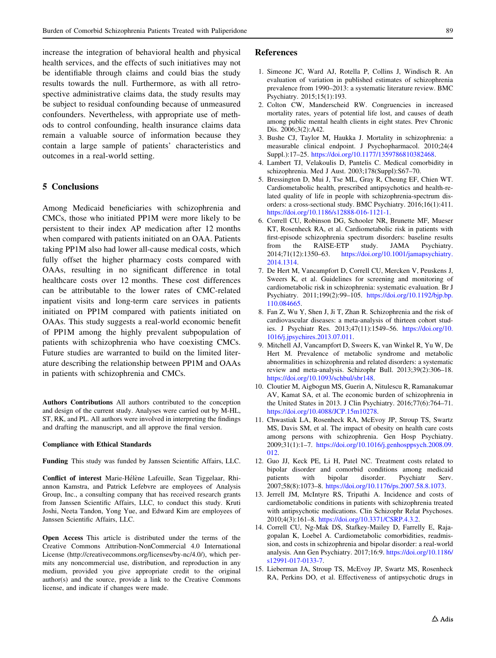<span id="page-8-0"></span>increase the integration of behavioral health and physical health services, and the effects of such initiatives may not be identifiable through claims and could bias the study results towards the null. Furthermore, as with all retrospective administrative claims data, the study results may be subject to residual confounding because of unmeasured confounders. Nevertheless, with appropriate use of methods to control confounding, health insurance claims data remain a valuable source of information because they contain a large sample of patients' characteristics and outcomes in a real-world setting.

# 5 Conclusions

Among Medicaid beneficiaries with schizophrenia and CMCs, those who initiated PP1M were more likely to be persistent to their index AP medication after 12 months when compared with patients initiated on an OAA. Patients taking PP1M also had lower all-cause medical costs, which fully offset the higher pharmacy costs compared with OAAs, resulting in no significant difference in total healthcare costs over 12 months. These cost differences can be attributable to the lower rates of CMC-related inpatient visits and long-term care services in patients initiated on PP1M compared with patients initiated on OAAs. This study suggests a real-world economic benefit of PP1M among the highly prevalent subpopulation of patients with schizophrenia who have coexisting CMCs. Future studies are warranted to build on the limited literature describing the relationship between PP1M and OAAs in patients with schizophrenia and CMCs.

Authors Contributions All authors contributed to the conception and design of the current study. Analyses were carried out by M-HL, ST, RK, and PL. All authors were involved in interpreting the findings and drafting the manuscript, and all approve the final version.

#### Compliance with Ethical Standards

Funding This study was funded by Janssen Scientific Affairs, LLC.

Conflict of interest Marie-Hélène Lafeuille, Sean Tiggelaar, Rhiannon Kamstra, and Patrick Lefebvre are employees of Analysis Group, Inc., a consulting company that has received research grants from Janssen Scientific Affairs, LLC, to conduct this study. Kruti Joshi, Neeta Tandon, Yong Yue, and Edward Kim are employees of Janssen Scientific Affairs, LLC.

Open Access This article is distributed under the terms of the Creative Commons Attribution-NonCommercial 4.0 International License (http://creativecommons.org/licenses/by-nc/4.0/), which permits any noncommercial use, distribution, and reproduction in any medium, provided you give appropriate credit to the original author(s) and the source, provide a link to the Creative Commons license, and indicate if changes were made.

## References

- 1. Simeone JC, Ward AJ, Rotella P, Collins J, Windisch R. An evaluation of variation in published estimates of schizophrenia prevalence from 1990–2013: a systematic literature review. BMC Psychiatry. 2015;15(1):193.
- 2. Colton CW, Manderscheid RW. Congruencies in increased mortality rates, years of potential life lost, and causes of death among public mental health clients in eight states. Prev Chronic Dis. 2006;3(2):A42.
- 3. Bushe CJ, Taylor M, Haukka J. Mortality in schizophrenia: a measurable clinical endpoint. J Psychopharmacol. 2010;24(4 Suppl.):17–25. [https://doi.org/10.1177/1359786810382468.](http://dx.doi.org/10.1177/1359786810382468)
- 4. Lambert TJ, Velakoulis D, Pantelis C. Medical comorbidity in schizophrenia. Med J Aust. 2003;178(Suppl):S67–70.
- 5. Bressington D, Mui J, Tse ML, Gray R, Cheung EF, Chien WT. Cardiometabolic health, prescribed antipsychotics and health-related quality of life in people with schizophrenia-spectrum disorders: a cross-sectional study. BMC Psychiatry. 2016;16(1):411. [https://doi.org/10.1186/s12888-016-1121-1.](http://dx.doi.org/10.1186/s12888-016-1121-1)
- 6. Correll CU, Robinson DG, Schooler NR, Brunette MF, Mueser KT, Rosenheck RA, et al. Cardiometabolic risk in patients with first-episode schizophrenia spectrum disorders: baseline results from the RAISE-ETP study. JAMA Psychiatry. 2014;71(12):1350–63. [https://doi.org/10.1001/jamapsychiatry.](http://dx.doi.org/10.1001/jamapsychiatry.2014.1314) [2014.1314.](http://dx.doi.org/10.1001/jamapsychiatry.2014.1314)
- 7. De Hert M, Vancampfort D, Correll CU, Mercken V, Peuskens J, Sweers K, et al. Guidelines for screening and monitoring of cardiometabolic risk in schizophrenia: systematic evaluation. Br J Psychiatry. 2011;199(2):99–105. [https://doi.org/10.1192/bjp.bp.](http://dx.doi.org/10.1192/bjp.bp.110.084665) [110.084665.](http://dx.doi.org/10.1192/bjp.bp.110.084665)
- 8. Fan Z, Wu Y, Shen J, Ji T, Zhan R. Schizophrenia and the risk of cardiovascular diseases: a meta-analysis of thirteen cohort studies. J Psychiatr Res. 2013;47(11):1549–56. [https://doi.org/10.](http://dx.doi.org/10.1016/j.jpsychires.2013.07.011) [1016/j.jpsychires.2013.07.011](http://dx.doi.org/10.1016/j.jpsychires.2013.07.011).
- 9. Mitchell AJ, Vancampfort D, Sweers K, van Winkel R, Yu W, De Hert M. Prevalence of metabolic syndrome and metabolic abnormalities in schizophrenia and related disorders: a systematic review and meta-analysis. Schizophr Bull. 2013;39(2):306–18. [https://doi.org/10.1093/schbul/sbr148](http://dx.doi.org/10.1093/schbul/sbr148).
- 10. Cloutier M, Aigbogun MS, Guerin A, Nitulescu R, Ramanakumar AV, Kamat SA, et al. The economic burden of schizophrenia in the United States in 2013. J Clin Psychiatry. 2016;77(6):764–71. [https://doi.org/10.4088/JCP.15m10278.](http://dx.doi.org/10.4088/JCP.15m10278)
- 11. Chwastiak LA, Rosenheck RA, McEvoy JP, Stroup TS, Swartz MS, Davis SM, et al. The impact of obesity on health care costs among persons with schizophrenia. Gen Hosp Psychiatry. 2009;31(1):1–7. [https://doi.org/10.1016/j.genhosppsych.2008.09.](http://dx.doi.org/10.1016/j.genhosppsych.2008.09.012) [012](http://dx.doi.org/10.1016/j.genhosppsych.2008.09.012).
- 12. Guo JJ, Keck PE, Li H, Patel NC. Treatment costs related to bipolar disorder and comorbid conditions among medicaid patients with bipolar disorder. Psychiatr Serv. 2007;58(8):1073–8. [https://doi.org/10.1176/ps.2007.58.8.1073.](http://dx.doi.org/10.1176/ps.2007.58.8.1073)
- 13. Jerrell JM, McIntyre RS, Tripathi A. Incidence and costs of cardiometabolic conditions in patients with schizophrenia treated with antipsychotic medications. Clin Schizophr Relat Psychoses. 2010;4(3):161–8. [https://doi.org/10.3371/CSRP.4.3.2.](http://dx.doi.org/10.3371/CSRP.4.3.2)
- 14. Correll CU, Ng-Mak DS, Stafkey-Mailey D, Farrelly E, Rajagopalan K, Loebel A. Cardiometabolic comorbidities, readmission, and costs in schizophrenia and bipolar disorder: a real-world analysis. Ann Gen Psychiatry. 2017;16:9. [https://doi.org/10.1186/](http://dx.doi.org/10.1186/s12991-017-0133-7) [s12991-017-0133-7](http://dx.doi.org/10.1186/s12991-017-0133-7).
- 15. Lieberman JA, Stroup TS, McEvoy JP, Swartz MS, Rosenheck RA, Perkins DO, et al. Effectiveness of antipsychotic drugs in